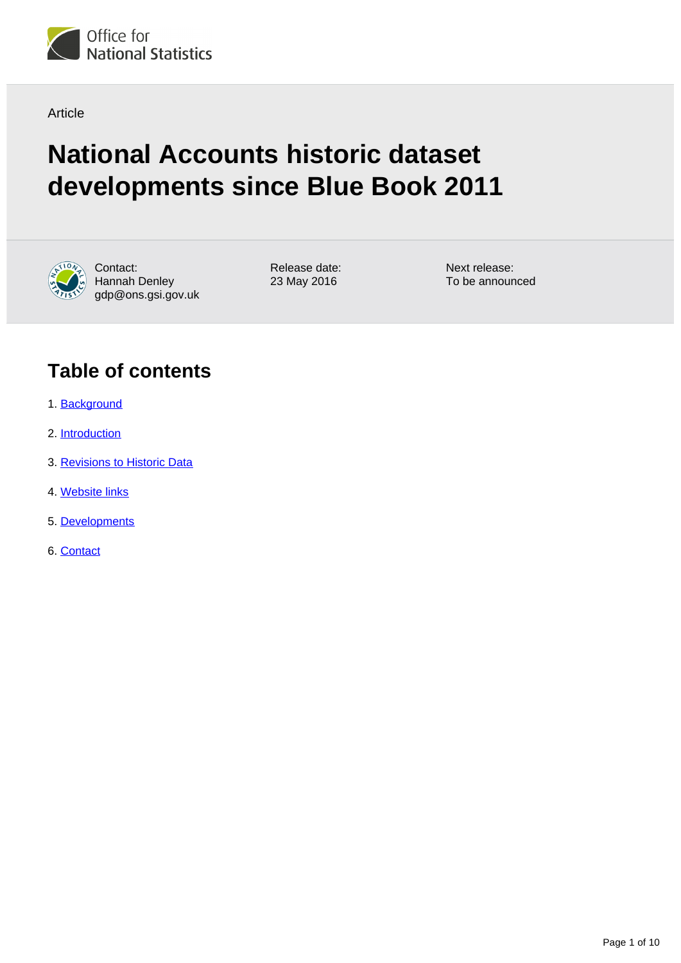

Article

# **National Accounts historic dataset developments since Blue Book 2011**



Contact: Hannah Denley gdp@ons.gsi.gov.uk Release date: 23 May 2016

Next release: To be announced

# **Table of contents**

- 1. [Background](#page-1-0)
- 2. [Introduction](#page-1-1)
- 3. [Revisions to Historic Data](#page-2-0)
- 4. [Website links](#page-3-0)
- 5. [Developments](#page-4-0)
- 6. [Contact](#page-5-0)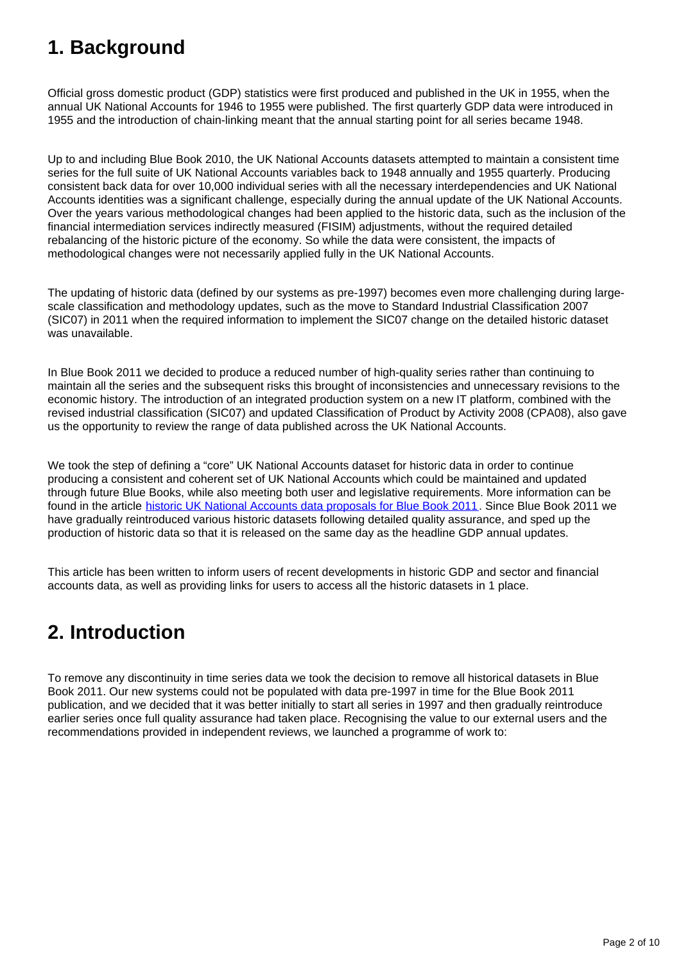# <span id="page-1-0"></span>**1. Background**

Official gross domestic product (GDP) statistics were first produced and published in the UK in 1955, when the annual UK National Accounts for 1946 to 1955 were published. The first quarterly GDP data were introduced in 1955 and the introduction of chain-linking meant that the annual starting point for all series became 1948.

Up to and including Blue Book 2010, the UK National Accounts datasets attempted to maintain a consistent time series for the full suite of UK National Accounts variables back to 1948 annually and 1955 quarterly. Producing consistent back data for over 10,000 individual series with all the necessary interdependencies and UK National Accounts identities was a significant challenge, especially during the annual update of the UK National Accounts. Over the years various methodological changes had been applied to the historic data, such as the inclusion of the financial intermediation services indirectly measured (FISIM) adjustments, without the required detailed rebalancing of the historic picture of the economy. So while the data were consistent, the impacts of methodological changes were not necessarily applied fully in the UK National Accounts.

The updating of historic data (defined by our systems as pre-1997) becomes even more challenging during largescale classification and methodology updates, such as the move to Standard Industrial Classification 2007 (SIC07) in 2011 when the required information to implement the SIC07 change on the detailed historic dataset was unavailable.

In Blue Book 2011 we decided to produce a reduced number of high-quality series rather than continuing to maintain all the series and the subsequent risks this brought of inconsistencies and unnecessary revisions to the economic history. The introduction of an integrated production system on a new IT platform, combined with the revised industrial classification (SIC07) and updated Classification of Product by Activity 2008 (CPA08), also gave us the opportunity to review the range of data published across the UK National Accounts.

We took the step of defining a "core" UK National Accounts dataset for historic data in order to continue producing a consistent and coherent set of UK National Accounts which could be maintained and updated through future Blue Books, while also meeting both user and legislative requirements. More information can be found in the article [historic UK National Accounts data proposals for Blue Book 2011.](http://www.ons.gov.uk/ons/guide-method/method-quality/specific/economy/national-accounts/articles/historic-national-accounts-data-proposals-for-blue-book-2011.pdf) Since Blue Book 2011 we have gradually reintroduced various historic datasets following detailed quality assurance, and sped up the production of historic data so that it is released on the same day as the headline GDP annual updates.

This article has been written to inform users of recent developments in historic GDP and sector and financial accounts data, as well as providing links for users to access all the historic datasets in 1 place.

# <span id="page-1-1"></span>**2. Introduction**

To remove any discontinuity in time series data we took the decision to remove all historical datasets in Blue Book 2011. Our new systems could not be populated with data pre-1997 in time for the Blue Book 2011 publication, and we decided that it was better initially to start all series in 1997 and then gradually reintroduce earlier series once full quality assurance had taken place. Recognising the value to our external users and the recommendations provided in independent reviews, we launched a programme of work to: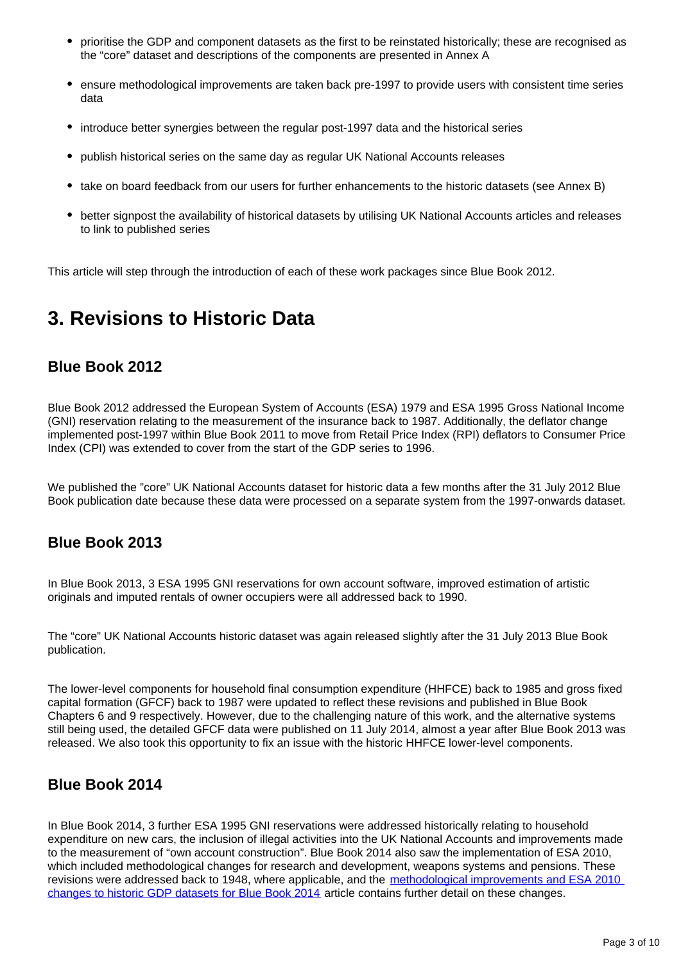- prioritise the GDP and component datasets as the first to be reinstated historically; these are recognised as the "core" dataset and descriptions of the components are presented in Annex A
- ensure methodological improvements are taken back pre-1997 to provide users with consistent time series data
- introduce better synergies between the regular post-1997 data and the historical series
- publish historical series on the same day as regular UK National Accounts releases
- take on board feedback from our users for further enhancements to the historic datasets (see Annex B)
- better signpost the availability of historical datasets by utilising UK National Accounts articles and releases to link to published series

This article will step through the introduction of each of these work packages since Blue Book 2012.

### <span id="page-2-0"></span>**3. Revisions to Historic Data**

#### **Blue Book 2012**

Blue Book 2012 addressed the European System of Accounts (ESA) 1979 and ESA 1995 Gross National Income (GNI) reservation relating to the measurement of the insurance back to 1987. Additionally, the deflator change implemented post-1997 within Blue Book 2011 to move from Retail Price Index (RPI) deflators to Consumer Price Index (CPI) was extended to cover from the start of the GDP series to 1996.

We published the "core" UK National Accounts dataset for historic data a few months after the 31 July 2012 Blue Book publication date because these data were processed on a separate system from the 1997-onwards dataset.

#### **Blue Book 2013**

In Blue Book 2013, 3 ESA 1995 GNI reservations for own account software, improved estimation of artistic originals and imputed rentals of owner occupiers were all addressed back to 1990.

The "core" UK National Accounts historic dataset was again released slightly after the 31 July 2013 Blue Book publication.

The lower-level components for household final consumption expenditure (HHFCE) back to 1985 and gross fixed capital formation (GFCF) back to 1987 were updated to reflect these revisions and published in Blue Book Chapters 6 and 9 respectively. However, due to the challenging nature of this work, and the alternative systems still being used, the detailed GFCF data were published on 11 July 2014, almost a year after Blue Book 2013 was released. We also took this opportunity to fix an issue with the historic HHFCE lower-level components.

#### **Blue Book 2014**

In Blue Book 2014, 3 further ESA 1995 GNI reservations were addressed historically relating to household expenditure on new cars, the inclusion of illegal activities into the UK National Accounts and improvements made to the measurement of "own account construction". Blue Book 2014 also saw the implementation of ESA 2010, which included methodological changes for research and development, weapons systems and pensions. These revisions were addressed back to 1948, where applicable, and the methodological improvements and ESA 2010 [changes to historic GDP datasets for Blue Book 2014](http://www.ons.gov.uk/ons/guide-method/method-quality/specific/economy/national-accounts/articles/2011-present/historic-gdp.pdf) article contains further detail on these changes.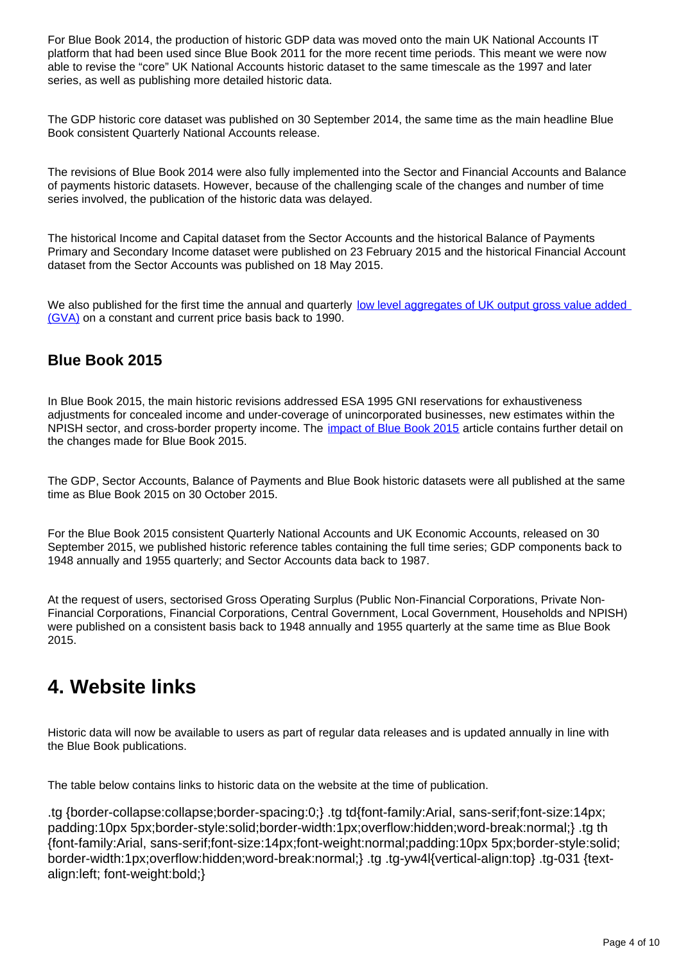For Blue Book 2014, the production of historic GDP data was moved onto the main UK National Accounts IT platform that had been used since Blue Book 2011 for the more recent time periods. This meant we were now able to revise the "core" UK National Accounts historic dataset to the same timescale as the 1997 and later series, as well as publishing more detailed historic data.

The GDP historic core dataset was published on 30 September 2014, the same time as the main headline Blue Book consistent Quarterly National Accounts release.

The revisions of Blue Book 2014 were also fully implemented into the Sector and Financial Accounts and Balance of payments historic datasets. However, because of the challenging scale of the changes and number of time series involved, the publication of the historic data was delayed.

The historical Income and Capital dataset from the Sector Accounts and the historical Balance of Payments Primary and Secondary Income dataset were published on 23 February 2015 and the historical Financial Account dataset from the Sector Accounts was published on 18 May 2015.

We also published for the first time the annual and quarterly low level aggregates of UK output gross value added [\(GVA\)](http://www.ons.gov.uk/economy/grossdomesticproductgdp/datasets/ukgdpolowlevelaggregates/current) on a constant and current price basis back to 1990.

#### **Blue Book 2015**

In Blue Book 2015, the main historic revisions addressed ESA 1995 GNI reservations for exhaustiveness adjustments for concealed income and under-coverage of unincorporated businesses, new estimates within the NPISH sector, and cross-border property income. The *[impact of Blue Book 2015](http://www.ons.gov.uk/ons/guide-method/method-quality/specific/economy/national-accounts/articles/2011-present/impact-of-blue-book-2015-changes-to-the-national-accounts-and-sector---financial-accounts.pdf)* article contains further detail on the changes made for Blue Book 2015.

The GDP, Sector Accounts, Balance of Payments and Blue Book historic datasets were all published at the same time as Blue Book 2015 on 30 October 2015.

For the Blue Book 2015 consistent Quarterly National Accounts and UK Economic Accounts, released on 30 September 2015, we published historic reference tables containing the full time series; GDP components back to 1948 annually and 1955 quarterly; and Sector Accounts data back to 1987.

At the request of users, sectorised Gross Operating Surplus (Public Non-Financial Corporations, Private Non-Financial Corporations, Financial Corporations, Central Government, Local Government, Households and NPISH) were published on a consistent basis back to 1948 annually and 1955 quarterly at the same time as Blue Book 2015.

### <span id="page-3-0"></span>**4. Website links**

Historic data will now be available to users as part of regular data releases and is updated annually in line with the Blue Book publications.

The table below contains links to historic data on the website at the time of publication.

.tg {border-collapse:collapse;border-spacing:0;} .tg td{font-family:Arial, sans-serif;font-size:14px; padding:10px 5px;border-style:solid;border-width:1px;overflow:hidden;word-break:normal;} .tg th {font-family:Arial, sans-serif;font-size:14px;font-weight:normal;padding:10px 5px;border-style:solid; border-width:1px;overflow:hidden;word-break:normal;} .tg .tg-yw4l{vertical-align:top} .tg-031 {textalign:left; font-weight:bold;}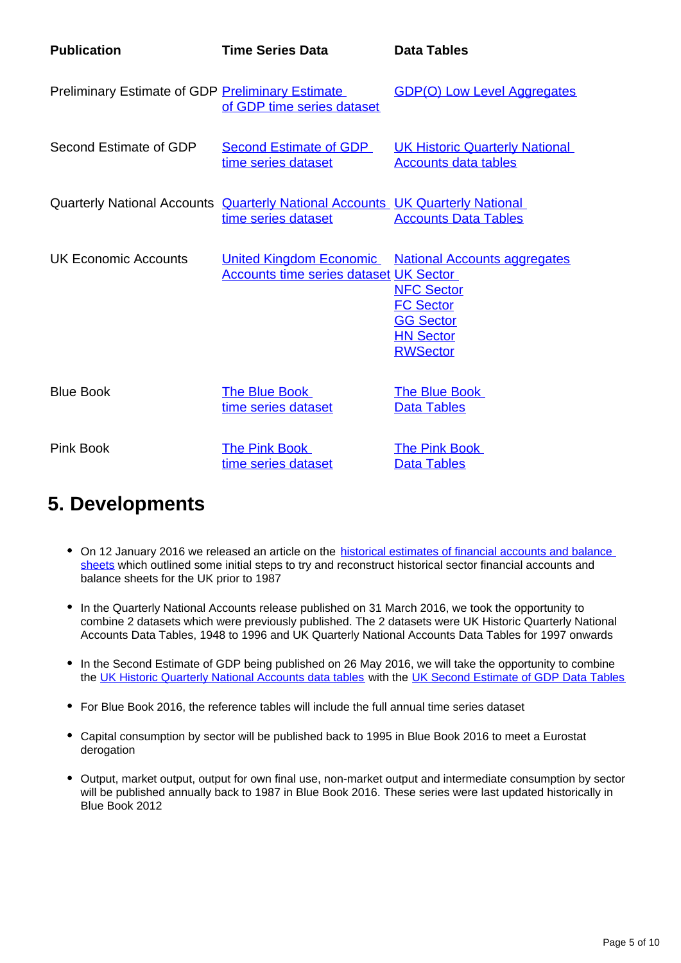| <b>Publication</b>                                      | <b>Time Series Data</b>                                                                                     | <b>Data Tables</b>                                                                                                                                       |
|---------------------------------------------------------|-------------------------------------------------------------------------------------------------------------|----------------------------------------------------------------------------------------------------------------------------------------------------------|
| <b>Preliminary Estimate of GDP Preliminary Estimate</b> | of GDP time series dataset                                                                                  | <b>GDP(O) Low Level Aggregates</b>                                                                                                                       |
| Second Estimate of GDP                                  | <b>Second Estimate of GDP</b><br>time series dataset                                                        | <b>UK Historic Quarterly National</b><br><b>Accounts data tables</b>                                                                                     |
|                                                         | Quarterly National Accounts <b>Quarterly National Accounts</b> UK Quarterly National<br>time series dataset | <b>Accounts Data Tables</b>                                                                                                                              |
| UK Economic Accounts                                    | <b>Accounts time series dataset UK Sector</b>                                                               | United Kingdom Economic National Accounts aggregates<br><b>NFC Sector</b><br><b>FC Sector</b><br><b>GG Sector</b><br><b>HN Sector</b><br><b>RWSector</b> |
| <b>Blue Book</b>                                        | The Blue Book<br>time series dataset                                                                        | <b>The Blue Book</b><br><b>Data Tables</b>                                                                                                               |
| Pink Book                                               | <b>The Pink Book</b><br>time series dataset                                                                 | <b>The Pink Book</b><br><b>Data Tables</b>                                                                                                               |

### <span id="page-4-0"></span>**5. Developments**

- On 12 January 2016 we released an article on the historical estimates of financial accounts and balance [sheets](http://www.ons.gov.uk/economy/nationalaccounts/uksectoraccounts/articles/nationalaccountsarticles/historicalestimatesoffinancialaccountsandbalancesheets) which outlined some initial steps to try and reconstruct historical sector financial accounts and balance sheets for the UK prior to 1987
- In the Quarterly National Accounts release published on 31 March 2016, we took the opportunity to combine 2 datasets which were previously published. The 2 datasets were UK Historic Quarterly National Accounts Data Tables, 1948 to 1996 and UK Quarterly National Accounts Data Tables for 1997 onwards
- In the Second Estimate of GDP being published on 26 May 2016, we will take the opportunity to combine the [UK Historic Quarterly National Accounts data tables](http://www.ons.gov.uk/economy/grossdomesticproductgdp/datasets/ukhistoricquarterlynationalaccountsdatatables) with the [UK Second Estimate of GDP Data Tables](http://www.ons.gov.uk/economy/grossdomesticproductgdp/datasets/uksecondestimateofgdpdatatables)
- For Blue Book 2016, the reference tables will include the full annual time series dataset
- Capital consumption by sector will be published back to 1995 in Blue Book 2016 to meet a Eurostat derogation
- Output, market output, output for own final use, non-market output and intermediate consumption by sector will be published annually back to 1987 in Blue Book 2016. These series were last updated historically in Blue Book 2012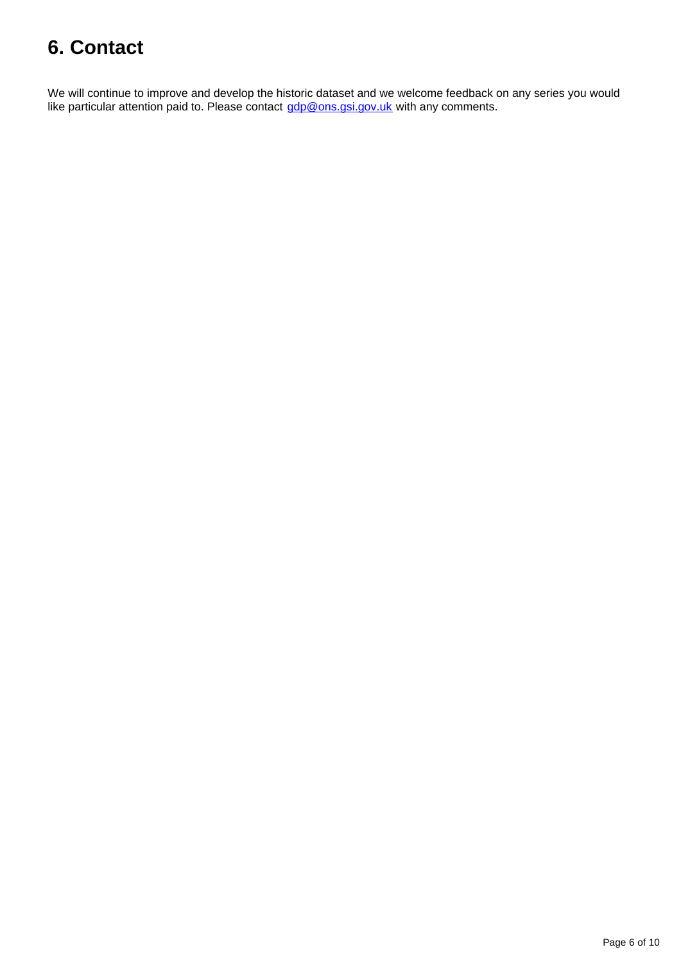# <span id="page-5-0"></span>**6. Contact**

We will continue to improve and develop the historic dataset and we welcome feedback on any series you would like particular attention paid to. Please contact gdp@ons.gsi.gov.uk with any comments.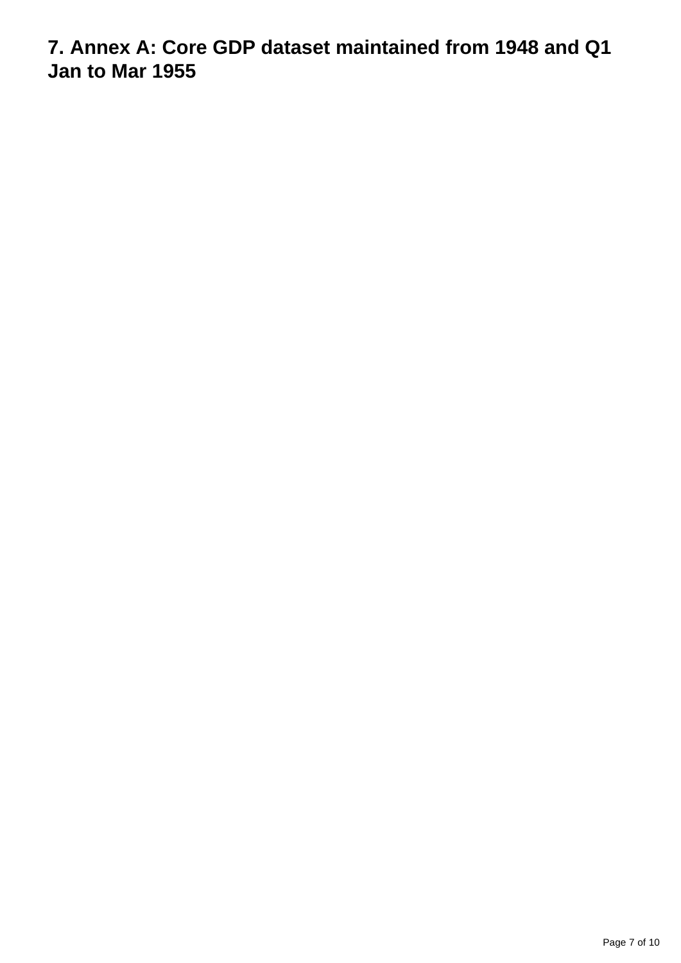**7. Annex A: Core GDP dataset maintained from 1948 and Q1 Jan to Mar 1955**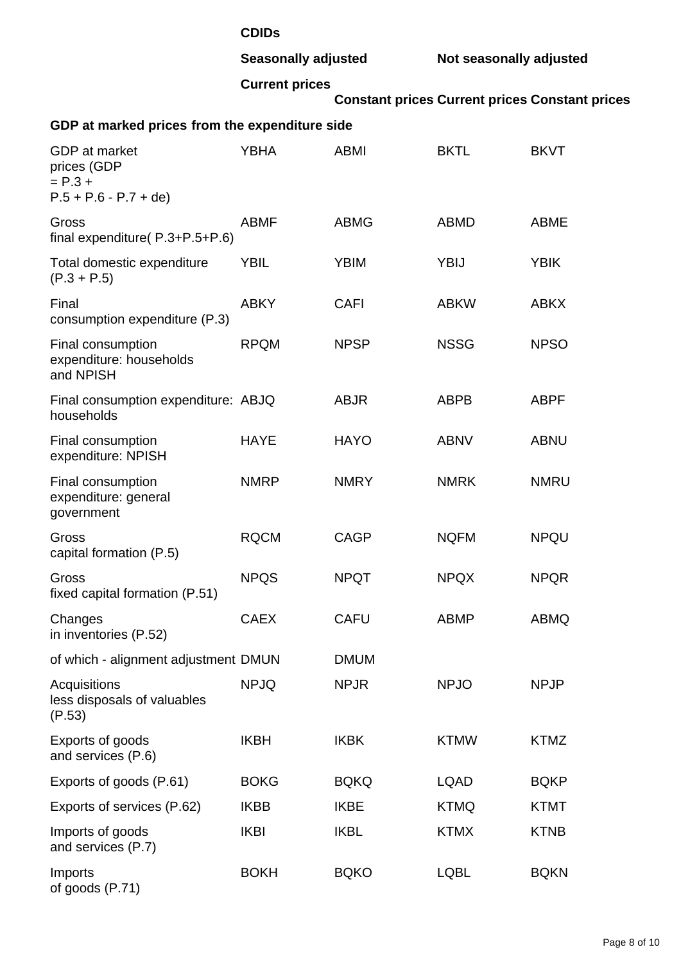#### **CDIDs**

**Seasonally adjusted Not seasonally adjusted**

#### **Current prices**

**Constant prices Current prices Constant prices**

#### **GDP at marked prices from the expenditure side**

| <b>GDP</b> at market<br>prices (GDP<br>$= P.3 +$<br>$P.5 + P.6 - P.7 + de$ | <b>YBHA</b> | <b>ABMI</b> | <b>BKTL</b> | <b>BKVT</b> |
|----------------------------------------------------------------------------|-------------|-------------|-------------|-------------|
| Gross<br>final expenditure(P.3+P.5+P.6)                                    | <b>ABMF</b> | <b>ABMG</b> | <b>ABMD</b> | <b>ABME</b> |
| Total domestic expenditure<br>$(P.3 + P.5)$                                | <b>YBIL</b> | <b>YBIM</b> | <b>YBIJ</b> | <b>YBIK</b> |
| Final<br>consumption expenditure (P.3)                                     | <b>ABKY</b> | <b>CAFI</b> | <b>ABKW</b> | <b>ABKX</b> |
| Final consumption<br>expenditure: households<br>and NPISH                  | <b>RPQM</b> | <b>NPSP</b> | <b>NSSG</b> | <b>NPSO</b> |
| Final consumption expenditure: ABJQ<br>households                          |             | <b>ABJR</b> | <b>ABPB</b> | <b>ABPF</b> |
| Final consumption<br>expenditure: NPISH                                    | <b>HAYE</b> | <b>HAYO</b> | <b>ABNV</b> | <b>ABNU</b> |
| Final consumption<br>expenditure: general<br>government                    | <b>NMRP</b> | <b>NMRY</b> | <b>NMRK</b> | <b>NMRU</b> |
| Gross<br>capital formation (P.5)                                           | <b>RQCM</b> | <b>CAGP</b> | <b>NQFM</b> | <b>NPQU</b> |
| Gross<br>fixed capital formation (P.51)                                    | <b>NPQS</b> | <b>NPQT</b> | <b>NPQX</b> | <b>NPQR</b> |
| Changes<br>in inventories (P.52)                                           | <b>CAEX</b> | <b>CAFU</b> | <b>ABMP</b> | <b>ABMQ</b> |
| of which - alignment adjustment DMUN                                       |             | <b>DMUM</b> |             |             |
| Acquisitions<br>less disposals of valuables<br>(P.53)                      | <b>NPJQ</b> | <b>NPJR</b> | <b>NPJO</b> | <b>NPJP</b> |
| Exports of goods<br>and services (P.6)                                     | <b>IKBH</b> | <b>IKBK</b> | <b>KTMW</b> | <b>KTMZ</b> |
| Exports of goods (P.61)                                                    | <b>BOKG</b> | <b>BQKQ</b> | <b>LQAD</b> | <b>BQKP</b> |
| Exports of services (P.62)                                                 | <b>IKBB</b> | <b>IKBE</b> | <b>KTMQ</b> | <b>KTMT</b> |
| Imports of goods<br>and services (P.7)                                     | <b>IKBI</b> | <b>IKBL</b> | <b>KTMX</b> | <b>KTNB</b> |
| Imports                                                                    | <b>BOKH</b> | <b>BQKO</b> | <b>LQBL</b> | <b>BQKN</b> |

of goods (P.71)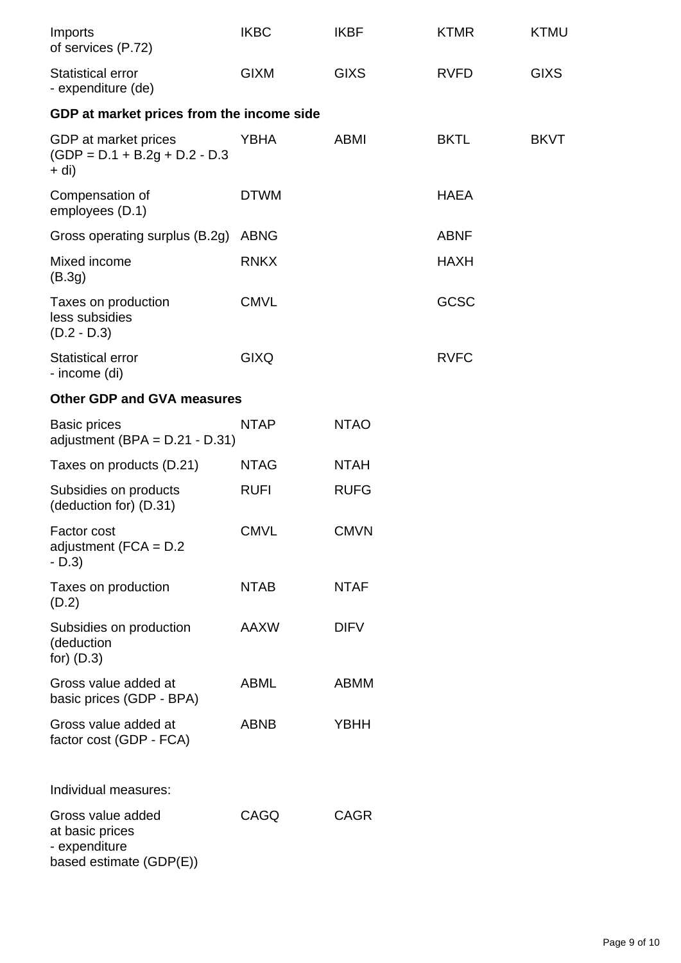| Imports<br>of services (P.72)                                                    | <b>IKBC</b> | <b>IKBF</b> | <b>KTMR</b> | <b>KTMU</b> |
|----------------------------------------------------------------------------------|-------------|-------------|-------------|-------------|
| <b>Statistical error</b><br>- expenditure (de)                                   | <b>GIXM</b> | <b>GIXS</b> | <b>RVFD</b> | <b>GIXS</b> |
| GDP at market prices from the income side                                        |             |             |             |             |
| GDP at market prices<br>$(GDP = D.1 + B.2g + D.2 - D.3)$<br>$+$ di)              | <b>YBHA</b> | <b>ABMI</b> | <b>BKTL</b> | <b>BKVT</b> |
| Compensation of<br>employees (D.1)                                               | <b>DTWM</b> |             | <b>HAEA</b> |             |
| Gross operating surplus (B.2g)                                                   | <b>ABNG</b> |             | <b>ABNF</b> |             |
| Mixed income<br>(B.3g)                                                           | <b>RNKX</b> |             | <b>HAXH</b> |             |
| Taxes on production<br>less subsidies<br>$(D.2 - D.3)$                           | <b>CMVL</b> |             | GCSC        |             |
| <b>Statistical error</b><br>- income (di)                                        | <b>GIXQ</b> |             | <b>RVFC</b> |             |
| <b>Other GDP and GVA measures</b>                                                |             |             |             |             |
| <b>Basic prices</b><br>adjustment (BPA = $D.21 - D.31$ )                         | <b>NTAP</b> | <b>NTAO</b> |             |             |
| Taxes on products (D.21)                                                         | <b>NTAG</b> | <b>NTAH</b> |             |             |
| Subsidies on products<br>(deduction for) (D.31)                                  | <b>RUFI</b> | <b>RUFG</b> |             |             |
| Factor cost<br>adjustment ( $FCA = D.2$<br>$-D.3$                                | <b>CMVL</b> | <b>CMVN</b> |             |             |
| Taxes on production<br>(D.2)                                                     | <b>NTAB</b> | <b>NTAF</b> |             |             |
| Subsidies on production<br>(deduction<br>for) $(D.3)$                            | AAXW        | <b>DIFV</b> |             |             |
| Gross value added at<br>basic prices (GDP - BPA)                                 | <b>ABML</b> | <b>ABMM</b> |             |             |
| Gross value added at<br>factor cost (GDP - FCA)                                  | <b>ABNB</b> | <b>YBHH</b> |             |             |
| Individual measures:                                                             |             |             |             |             |
| Gross value added<br>at basic prices<br>- expenditure<br>based estimate (GDP(E)) | CAGQ        | <b>CAGR</b> |             |             |